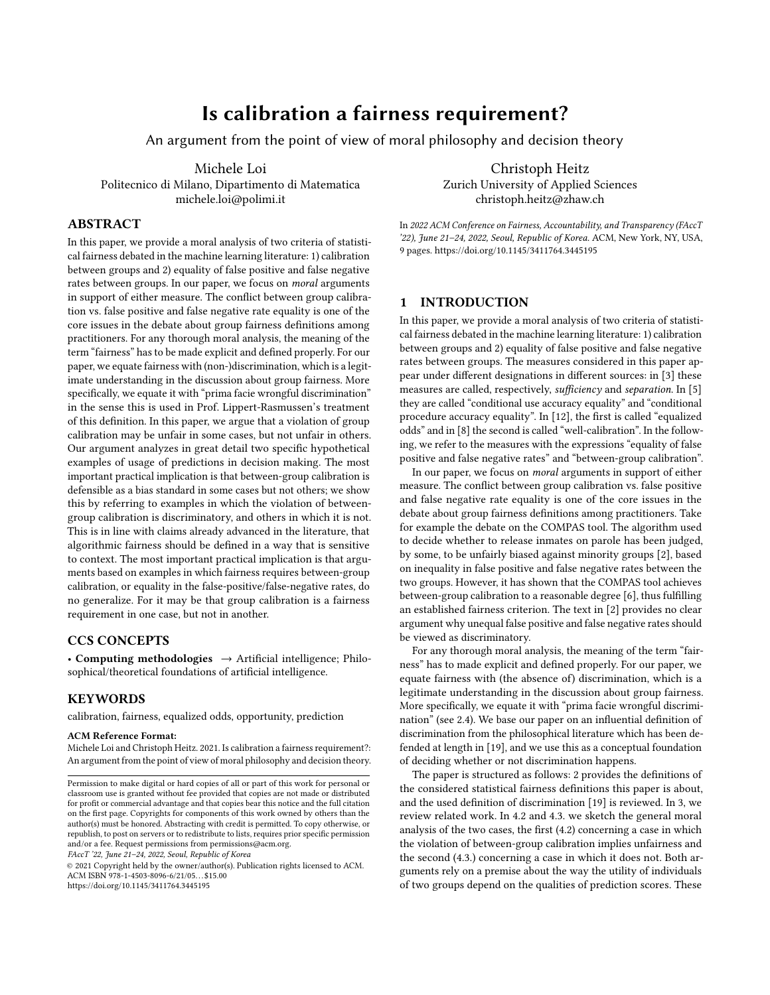# Is calibration a fairness requirement?

An argument from the point of view of moral philosophy and decision theory

Michele Loi Politecnico di Milano, Dipartimento di Matematica michele.loi@polimi.it

## ABSTRACT

In this paper, we provide a moral analysis of two criteria of statistical fairness debated in the machine learning literature: 1) calibration between groups and 2) equality of false positive and false negative rates between groups. In our paper, we focus on moral arguments in support of either measure. The conflict between group calibration vs. false positive and false negative rate equality is one of the core issues in the debate about group fairness definitions among practitioners. For any thorough moral analysis, the meaning of the term "fairness" has to be made explicit and defined properly. For our paper, we equate fairness with (non-)discrimination, which is a legitimate understanding in the discussion about group fairness. More specifically, we equate it with "prima facie wrongful discrimination" in the sense this is used in Prof. Lippert-Rasmussen's treatment of this definition. In this paper, we argue that a violation of group calibration may be unfair in some cases, but not unfair in others. Our argument analyzes in great detail two specific hypothetical examples of usage of predictions in decision making. The most important practical implication is that between-group calibration is defensible as a bias standard in some cases but not others; we show this by referring to examples in which the violation of betweengroup calibration is discriminatory, and others in which it is not. This is in line with claims already advanced in the literature, that algorithmic fairness should be defined in a way that is sensitive to context. The most important practical implication is that arguments based on examples in which fairness requires between-group calibration, or equality in the false-positive/false-negative rates, do no generalize. For it may be that group calibration is a fairness requirement in one case, but not in another.

## CCS CONCEPTS

• Computing methodologies  $\rightarrow$  Artificial intelligence; Philosophical/theoretical foundations of artificial intelligence.

## **KEYWORDS**

calibration, fairness, equalized odds, opportunity, prediction

#### ACM Reference Format:

Michele Loi and Christoph Heitz. 2021. Is calibration a fairness requirement?: An argument from the point of view of moral philosophy and decision theory.

FAccT '22, June 21–24, 2022, Seoul, Republic of Korea

© 2021 Copyright held by the owner/author(s). Publication rights licensed to ACM. ACM ISBN 978-1-4503-8096-6/21/05. . . \$15.00 <https://doi.org/10.1145/3411764.3445195>

Christoph Heitz Zurich University of Applied Sciences christoph.heitz@zhaw.ch

In 2022 ACM Conference on Fairness, Accountability, and Transparency (FAccT '22), June 21–24, 2022, Seoul, Republic of Korea. ACM, New York, NY, USA, [9](#page-8-0) pages.<https://doi.org/10.1145/3411764.3445195>

## 1 INTRODUCTION

In this paper, we provide a moral analysis of two criteria of statistical fairness debated in the machine learning literature: 1) calibration between groups and 2) equality of false positive and false negative rates between groups. The measures considered in this paper appear under different designations in different sources: in [\[3\]](#page-8-1) these measures are called, respectively, sufficiency and separation. In [\[5\]](#page-8-2) they are called "conditional use accuracy equality" and "conditional procedure accuracy equality". In [\[12\]](#page-8-3), the first is called "equalized odds" and in [\[8\]](#page-8-4) the second is called "well-calibration". In the following, we refer to the measures with the expressions "equality of false positive and false negative rates" and "between-group calibration".

In our paper, we focus on moral arguments in support of either measure. The conflict between group calibration vs. false positive and false negative rate equality is one of the core issues in the debate about group fairness definitions among practitioners. Take for example the debate on the COMPAS tool. The algorithm used to decide whether to release inmates on parole has been judged, by some, to be unfairly biased against minority groups [\[2\]](#page-8-5), based on inequality in false positive and false negative rates between the two groups. However, it has shown that the COMPAS tool achieves between-group calibration to a reasonable degree [\[6\]](#page-8-6), thus fulfilling an established fairness criterion. The text in [\[2\]](#page-8-5) provides no clear argument why unequal false positive and false negative rates should be viewed as discriminatory.

For any thorough moral analysis, the meaning of the term "fairness" has to made explicit and defined properly. For our paper, we equate fairness with (the absence of) discrimination, which is a legitimate understanding in the discussion about group fairness. More specifically, we equate it with "prima facie wrongful discrimination" (see 2.4). We base our paper on an influential definition of discrimination from the philosophical literature which has been defended at length in [\[19\]](#page-8-7), and we use this as a conceptual foundation of deciding whether or not discrimination happens.

The paper is structured as follows: 2 provides the definitions of the considered statistical fairness definitions this paper is about, and the used definition of discrimination [\[19\]](#page-8-7) is reviewed. In 3, we review related work. In 4.2 and 4.3. we sketch the general moral analysis of the two cases, the first (4.2) concerning a case in which the violation of between-group calibration implies unfairness and the second (4.3.) concerning a case in which it does not. Both arguments rely on a premise about the way the utility of individuals of two groups depend on the qualities of prediction scores. These

Permission to make digital or hard copies of all or part of this work for personal or classroom use is granted without fee provided that copies are not made or distributed for profit or commercial advantage and that copies bear this notice and the full citation on the first page. Copyrights for components of this work owned by others than the author(s) must be honored. Abstracting with credit is permitted. To copy otherwise, or republish, to post on servers or to redistribute to lists, requires prior specific permission and/or a fee. Request permissions from permissions@acm.org.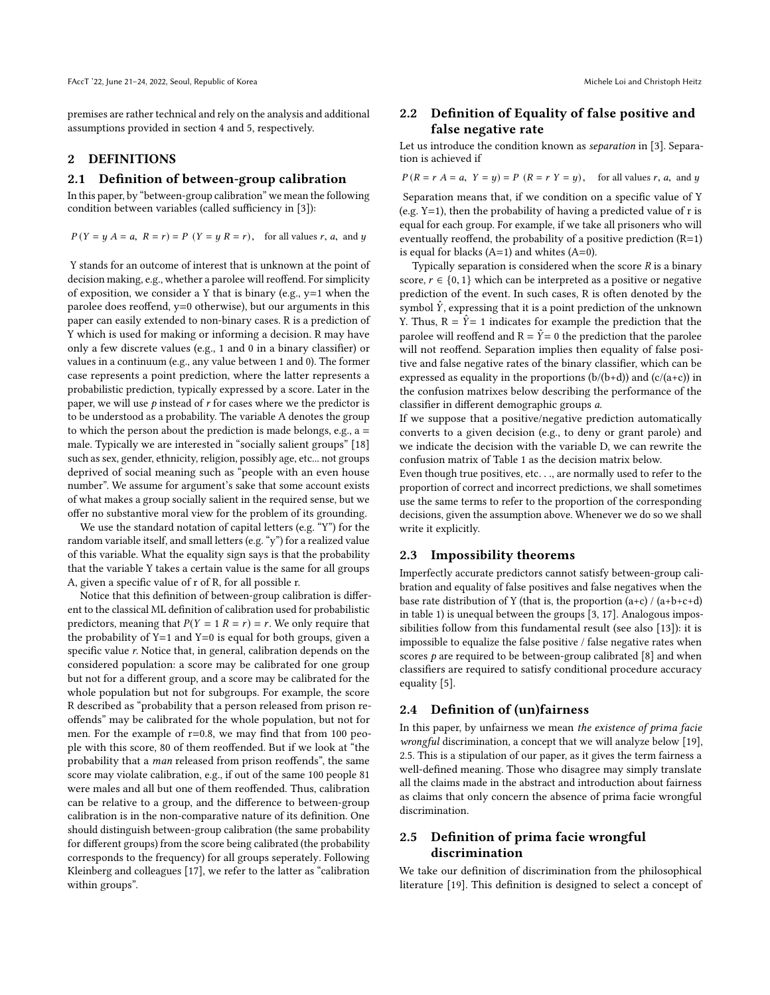premises are rather technical and rely on the analysis and additional assumptions provided in section 4 and 5, respectively.

## 2 DEFINITIONS

#### 2.1 Definition of between-group calibration

In this paper, by "between-group calibration" we mean the following condition between variables (called sufficiency in [\[3\]](#page-8-1)):

 $P(Y = y | A = a, R = r) = P(Y = y | R = r)$ , for all values r, a, and y

Y stands for an outcome of interest that is unknown at the point of decision making, e.g., whether a parolee will reoffend. For simplicity of exposition, we consider a Y that is binary (e.g., y=1 when the parolee does reoffend, y=0 otherwise), but our arguments in this paper can easily extended to non-binary cases. R is a prediction of Y which is used for making or informing a decision. R may have only a few discrete values (e.g., 1 and 0 in a binary classifier) or values in a continuum (e.g., any value between 1 and 0). The former case represents a point prediction, where the latter represents a probabilistic prediction, typically expressed by a score. Later in the paper, we will use  $p$  instead of  $r$  for cases where we the predictor is to be understood as a probability. The variable A denotes the group to which the person about the prediction is made belongs, e.g.,  $a =$ male. Typically we are interested in "socially salient groups" [\[18\]](#page-8-8) such as sex, gender, ethnicity, religion, possibly age, etc... not groups deprived of social meaning such as "people with an even house number". We assume for argument's sake that some account exists of what makes a group socially salient in the required sense, but we offer no substantive moral view for the problem of its grounding.

We use the standard notation of capital letters (e.g. "Y") for the random variable itself, and small letters (e.g. "y") for a realized value of this variable. What the equality sign says is that the probability that the variable Y takes a certain value is the same for all groups A, given a specific value of r of R, for all possible r.

Notice that this definition of between-group calibration is different to the classical ML definition of calibration used for probabilistic predictors, meaning that  $P(Y = 1 \mid R = r) = r$ . We only require that the probability of  $Y=1$  and  $Y=0$  is equal for both groups, given a specific value r. Notice that, in general, calibration depends on the considered population: a score may be calibrated for one group but not for a different group, and a score may be calibrated for the whole population but not for subgroups. For example, the score R described as "probability that a person released from prison reoffends" may be calibrated for the whole population, but not for men. For the example of  $r=0.8$ , we may find that from 100 people with this score, 80 of them reoffended. But if we look at "the probability that a man released from prison reoffends", the same score may violate calibration, e.g., if out of the same 100 people 81 were males and all but one of them reoffended. Thus, calibration can be relative to a group, and the difference to between-group calibration is in the non-comparative nature of its definition. One should distinguish between-group calibration (the same probability for different groups) from the score being calibrated (the probability corresponds to the frequency) for all groups seperately. Following Kleinberg and colleagues [\[17\]](#page-8-9), we refer to the latter as "calibration within groups".

## 2.2 Definition of Equality of false positive and false negative rate

Let us introduce the condition known as separation in [\[3\]](#page-8-1). Separation is achieved if

 $P(R = r A = a, Y = y) = P(R = r Y = y)$ , for all values r, a, and y

Separation means that, if we condition on a specific value of Y (e.g.  $Y=1$ ), then the probability of having a predicted value of r is equal for each group. For example, if we take all prisoners who will eventually reoffend, the probability of a positive prediction  $(R=1)$ is equal for blacks  $(A=1)$  and whites  $(A=0)$ .

Typically separation is considered when the score  $R$  is a binary score,  $r \in \{0, 1\}$  which can be interpreted as a positive or negative prediction of the event. In such cases, R is often denoted by the symbol  $\hat{Y}$ , expressing that it is a point prediction of the unknown Y. Thus,  $R = \hat{Y} = 1$  indicates for example the prediction that the parolee will reoffend and  $R = \hat{Y} = 0$  the prediction that the parolee will not reoffend. Separation implies then equality of false positive and false negative rates of the binary classifier, which can be expressed as equality in the proportions  $(b/(b+d))$  and  $(c/(a+c))$  in the confusion matrixes below describing the performance of the classifier in different demographic groups a.

If we suppose that a positive/negative prediction automatically converts to a given decision (e.g., to deny or grant parole) and we indicate the decision with the variable D, we can rewrite the confusion matrix of Table [1](#page-2-0) as the decision matrix below.

Even though true positives, etc. . ., are normally used to refer to the proportion of correct and incorrect predictions, we shall sometimes use the same terms to refer to the proportion of the corresponding decisions, given the assumption above. Whenever we do so we shall write it explicitly.

#### 2.3 Impossibility theorems

Imperfectly accurate predictors cannot satisfy between-group calibration and equality of false positives and false negatives when the base rate distribution of Y (that is, the proportion  $(a+c)/(a+b+c+d)$ ) in table [1\)](#page-2-0) is unequal between the groups [\[3,](#page-8-1) [17\]](#page-8-9). Analogous impossibilities follow from this fundamental result (see also [\[13\]](#page-8-10)): it is impossible to equalize the false positive / false negative rates when scores  $p$  are required to be between-group calibrated [\[8\]](#page-8-4) and when classifiers are required to satisfy conditional procedure accuracy equality [\[5\]](#page-8-2).

### 2.4 Definition of (un)fairness

In this paper, by unfairness we mean the existence of prima facie wrongful discrimination, a concept that we will analyze below [\[19\]](#page-8-7), 2.5. This is a stipulation of our paper, as it gives the term fairness a well-defined meaning. Those who disagree may simply translate all the claims made in the abstract and introduction about fairness as claims that only concern the absence of prima facie wrongful discrimination.

## 2.5 Definition of prima facie wrongful discrimination

We take our definition of discrimination from the philosophical literature [\[19\]](#page-8-7). This definition is designed to select a concept of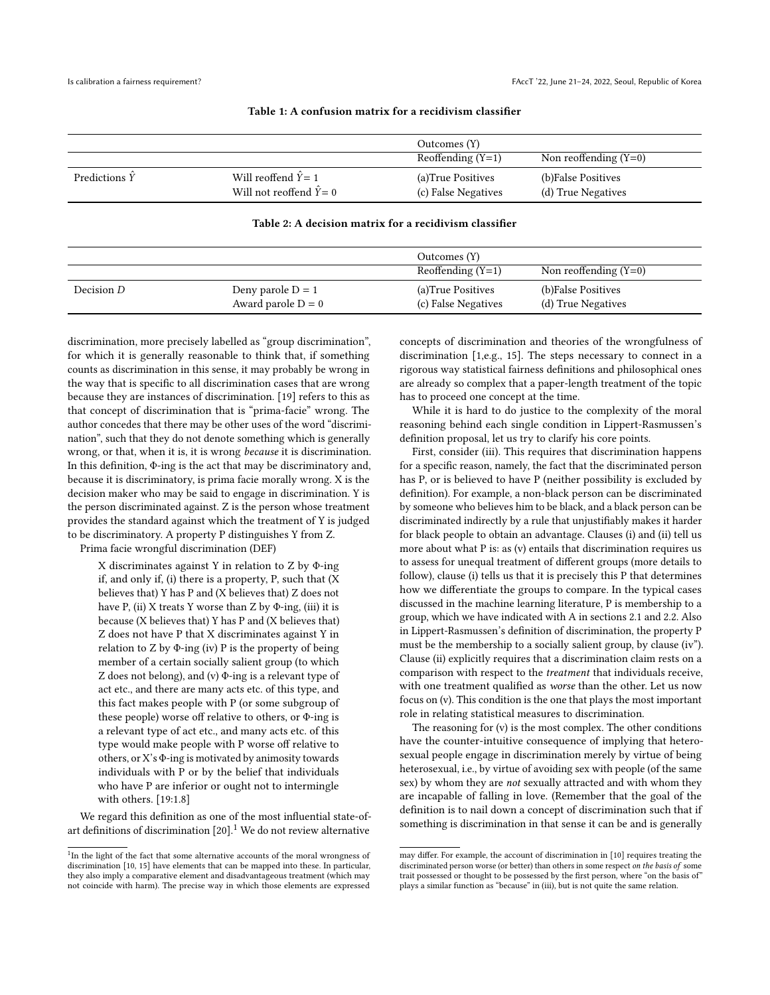<span id="page-2-0"></span>

|                       |                                                              | Outcomes (Y)                              |                                          |
|-----------------------|--------------------------------------------------------------|-------------------------------------------|------------------------------------------|
|                       |                                                              | Reoffending $(Y=1)$                       | Non reoffending $(Y=0)$                  |
| Predictions $\hat{Y}$ | Will reoffend $\hat{Y} = 1$<br>Will not reoffend $\hat{Y}=0$ | (a) True Positives<br>(c) False Negatives | (b)False Positives<br>(d) True Negatives |

#### Table 1: A confusion matrix for a recidivism classifier

#### Table 2: A decision matrix for a recidivism classifier

|            |                                             | Outcomes (Y)                              |                                          |
|------------|---------------------------------------------|-------------------------------------------|------------------------------------------|
|            |                                             | Reoffending $(Y=1)$                       | Non reoffending $(Y=0)$                  |
| Decision D | Deny parole $D = 1$<br>Award parole $D = 0$ | (a) True Positives<br>(c) False Negatives | (b)False Positives<br>(d) True Negatives |

discrimination, more precisely labelled as "group discrimination", for which it is generally reasonable to think that, if something counts as discrimination in this sense, it may probably be wrong in the way that is specific to all discrimination cases that are wrong because they are instances of discrimination. [\[19\]](#page-8-7) refers to this as that concept of discrimination that is "prima-facie" wrong. The author concedes that there may be other uses of the word "discrimination", such that they do not denote something which is generally wrong, or that, when it is, it is wrong because it is discrimination. In this definition, Φ-ing is the act that may be discriminatory and, because it is discriminatory, is prima facie morally wrong. X is the decision maker who may be said to engage in discrimination. Y is the person discriminated against. Z is the person whose treatment provides the standard against which the treatment of Y is judged to be discriminatory. A property P distinguishes Y from Z.

Prima facie wrongful discrimination (DEF)

X discriminates against Y in relation to Z by Φ-ing if, and only if, (i) there is a property, P, such that (X believes that) Y has P and (X believes that) Z does not have P, (ii) X treats Y worse than Z by  $\Phi$ -ing, (iii) it is because (X believes that) Y has P and (X believes that) Z does not have P that X discriminates against Y in relation to Z by Φ-ing (iv) P is the property of being member of a certain socially salient group (to which Z does not belong), and (v) Φ-ing is a relevant type of act etc., and there are many acts etc. of this type, and this fact makes people with P (or some subgroup of these people) worse off relative to others, or Φ-ing is a relevant type of act etc., and many acts etc. of this type would make people with P worse off relative to others, or X's Φ-ing is motivated by animosity towards individuals with P or by the belief that individuals who have P are inferior or ought not to intermingle with others. [\[19:](#page-8-7)1.8]

We regard this definition as one of the most influential state-ofart definitions of discrimination  $[20]$ .<sup>[1](#page-2-1)</sup> We do not review alternative

concepts of discrimination and theories of the wrongfulness of discrimination [\[1,](#page-8-14)e.g., [15\]](#page-8-13). The steps necessary to connect in a rigorous way statistical fairness definitions and philosophical ones are already so complex that a paper-length treatment of the topic has to proceed one concept at the time.

While it is hard to do justice to the complexity of the moral reasoning behind each single condition in Lippert-Rasmussen's definition proposal, let us try to clarify his core points.

First, consider (iii). This requires that discrimination happens for a specific reason, namely, the fact that the discriminated person has P, or is believed to have P (neither possibility is excluded by definition). For example, a non-black person can be discriminated by someone who believes him to be black, and a black person can be discriminated indirectly by a rule that unjustifiably makes it harder for black people to obtain an advantage. Clauses (i) and (ii) tell us more about what P is: as (v) entails that discrimination requires us to assess for unequal treatment of different groups (more details to follow), clause (i) tells us that it is precisely this P that determines how we differentiate the groups to compare. In the typical cases discussed in the machine learning literature, P is membership to a group, which we have indicated with A in sections 2.1 and 2.2. Also in Lippert-Rasmussen's definition of discrimination, the property P must be the membership to a socially salient group, by clause (iv"). Clause (ii) explicitly requires that a discrimination claim rests on a comparison with respect to the treatment that individuals receive, with one treatment qualified as worse than the other. Let us now focus on (v). This condition is the one that plays the most important role in relating statistical measures to discrimination.

The reasoning for (v) is the most complex. The other conditions have the counter-intuitive consequence of implying that heterosexual people engage in discrimination merely by virtue of being heterosexual, i.e., by virtue of avoiding sex with people (of the same sex) by whom they are not sexually attracted and with whom they are incapable of falling in love. (Remember that the goal of the definition is to nail down a concept of discrimination such that if something is discrimination in that sense it can be and is generally

<span id="page-2-1"></span><sup>&</sup>lt;sup>1</sup>In the light of the fact that some alternative accounts of the moral wrongness of discrimination [\[10,](#page-8-12) [15\]](#page-8-13) have elements that can be mapped into these. In particular, they also imply a comparative element and disadvantageous treatment (which may not coincide with harm). The precise way in which those elements are expressed

may differ. For example, the account of discrimination in [\[10\]](#page-8-12) requires treating the discriminated person worse (or better) than others in some respect on the basis of some trait possessed or thought to be possessed by the first person, where "on the basis of" plays a similar function as "because" in (iii), but is not quite the same relation.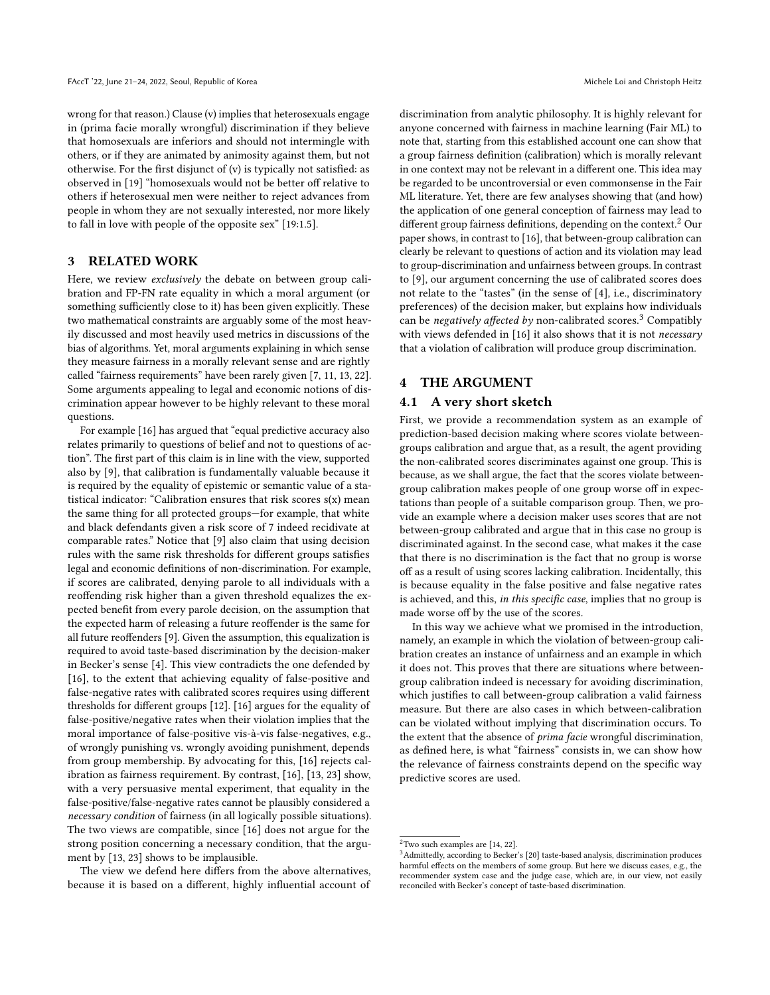wrong for that reason.) Clause (v) implies that heterosexuals engage in (prima facie morally wrongful) discrimination if they believe that homosexuals are inferiors and should not intermingle with others, or if they are animated by animosity against them, but not otherwise. For the first disjunct of (v) is typically not satisfied: as observed in [\[19\]](#page-8-7) "homosexuals would not be better off relative to others if heterosexual men were neither to reject advances from people in whom they are not sexually interested, nor more likely to fall in love with people of the opposite sex" [\[19:](#page-8-7)1.5].

## 3 RELATED WORK

Here, we review *exclusively* the debate on between group calibration and FP-FN rate equality in which a moral argument (or something sufficiently close to it) has been given explicitly. These two mathematical constraints are arguably some of the most heavily discussed and most heavily used metrics in discussions of the bias of algorithms. Yet, moral arguments explaining in which sense they measure fairness in a morally relevant sense and are rightly called "fairness requirements" have been rarely given [\[7,](#page-8-15) [11,](#page-8-16) [13,](#page-8-10) [22\]](#page-8-17). Some arguments appealing to legal and economic notions of discrimination appear however to be highly relevant to these moral questions.

For example [\[16\]](#page-8-18) has argued that "equal predictive accuracy also relates primarily to questions of belief and not to questions of action". The first part of this claim is in line with the view, supported also by [\[9\]](#page-8-19), that calibration is fundamentally valuable because it is required by the equality of epistemic or semantic value of a statistical indicator: "Calibration ensures that risk scores  $s(x)$  mean the same thing for all protected groups—for example, that white and black defendants given a risk score of 7 indeed recidivate at comparable rates." Notice that [\[9\]](#page-8-19) also claim that using decision rules with the same risk thresholds for different groups satisfies legal and economic definitions of non-discrimination. For example, if scores are calibrated, denying parole to all individuals with a reoffending risk higher than a given threshold equalizes the expected benefit from every parole decision, on the assumption that the expected harm of releasing a future reoffender is the same for all future reoffenders [\[9\]](#page-8-19). Given the assumption, this equalization is required to avoid taste-based discrimination by the decision-maker in Becker's sense [\[4\]](#page-8-20). This view contradicts the one defended by [\[16\]](#page-8-18), to the extent that achieving equality of false-positive and false-negative rates with calibrated scores requires using different thresholds for different groups [\[12\]](#page-8-3). [\[16\]](#page-8-18) argues for the equality of false-positive/negative rates when their violation implies that the moral importance of false-positive vis-à-vis false-negatives, e.g., of wrongly punishing vs. wrongly avoiding punishment, depends from group membership. By advocating for this, [\[16\]](#page-8-18) rejects calibration as fairness requirement. By contrast, [\[16\]](#page-8-18), [\[13,](#page-8-10) [23\]](#page-8-21) show, with a very persuasive mental experiment, that equality in the false-positive/false-negative rates cannot be plausibly considered a necessary condition of fairness (in all logically possible situations). The two views are compatible, since [\[16\]](#page-8-18) does not argue for the strong position concerning a necessary condition, that the argument by [\[13,](#page-8-10) [23\]](#page-8-21) shows to be implausible.

The view we defend here differs from the above alternatives, because it is based on a different, highly influential account of

discrimination from analytic philosophy. It is highly relevant for anyone concerned with fairness in machine learning (Fair ML) to note that, starting from this established account one can show that a group fairness definition (calibration) which is morally relevant in one context may not be relevant in a different one. This idea may be regarded to be uncontroversial or even commonsense in the Fair ML literature. Yet, there are few analyses showing that (and how) the application of one general conception of fairness may lead to different group fairness definitions, depending on the context.<sup>[2](#page-3-0)</sup> Our paper shows, in contrast to [\[16\]](#page-8-18), that between-group calibration can clearly be relevant to questions of action and its violation may lead to group-discrimination and unfairness between groups. In contrast to [\[9\]](#page-8-19), our argument concerning the use of calibrated scores does not relate to the "tastes" (in the sense of [\[4\]](#page-8-20), i.e., discriminatory preferences) of the decision maker, but explains how individuals can be *negatively affected by* non-calibrated scores.<sup>[3](#page-3-1)</sup> Compatibly with views defended in [\[16\]](#page-8-18) it also shows that it is not *necessary* that a violation of calibration will produce group discrimination.

## 4 THE ARGUMENT

### 4.1 A very short sketch

First, we provide a recommendation system as an example of prediction-based decision making where scores violate betweengroups calibration and argue that, as a result, the agent providing the non-calibrated scores discriminates against one group. This is because, as we shall argue, the fact that the scores violate betweengroup calibration makes people of one group worse off in expectations than people of a suitable comparison group. Then, we provide an example where a decision maker uses scores that are not between-group calibrated and argue that in this case no group is discriminated against. In the second case, what makes it the case that there is no discrimination is the fact that no group is worse off as a result of using scores lacking calibration. Incidentally, this is because equality in the false positive and false negative rates is achieved, and this, in this specific case, implies that no group is made worse off by the use of the scores.

In this way we achieve what we promised in the introduction, namely, an example in which the violation of between-group calibration creates an instance of unfairness and an example in which it does not. This proves that there are situations where betweengroup calibration indeed is necessary for avoiding discrimination, which justifies to call between-group calibration a valid fairness measure. But there are also cases in which between-calibration can be violated without implying that discrimination occurs. To the extent that the absence of prima facie wrongful discrimination, as defined here, is what "fairness" consists in, we can show how the relevance of fairness constraints depend on the specific way predictive scores are used.

<span id="page-3-0"></span> $2^2$ Two such examples are [\[14,](#page-8-22) [22\]](#page-8-17).

<span id="page-3-1"></span><sup>&</sup>lt;sup>3</sup> Admittedly, according to Becker's [\[20\]](#page-8-11) taste-based analysis, discrimination produces harmful effects on the members of some group. But here we discuss cases, e.g., the recommender system case and the judge case, which are, in our view, not easily reconciled with Becker's concept of taste-based discrimination.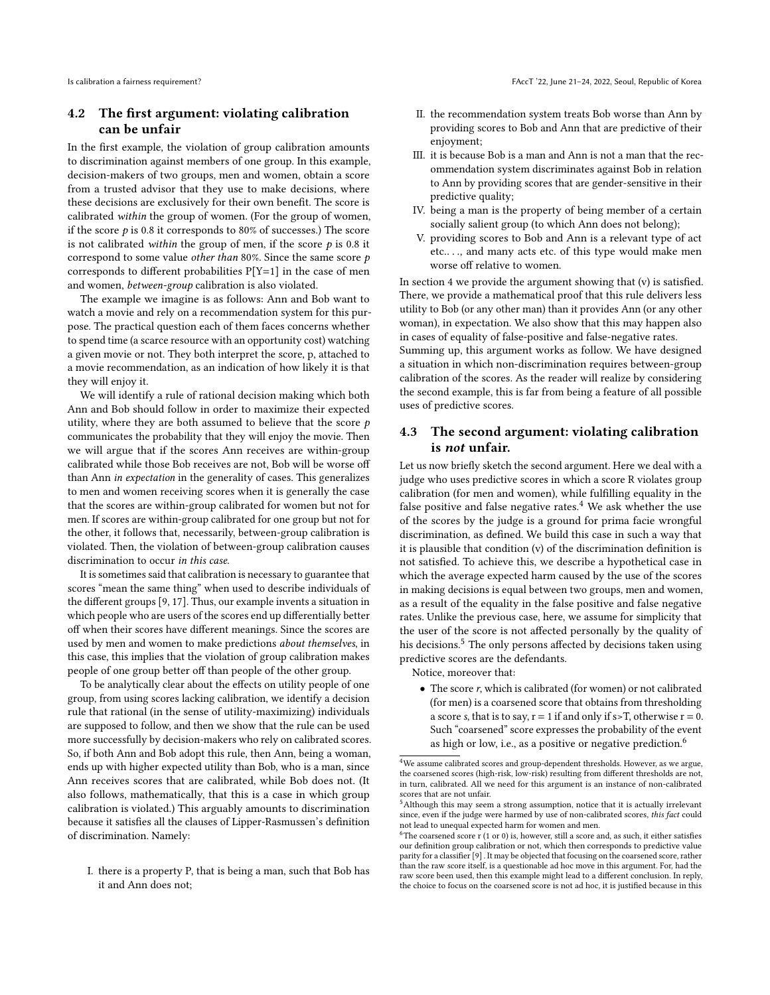## 4.2 The first argument: violating calibration can be unfair

In the first example, the violation of group calibration amounts to discrimination against members of one group. In this example, decision-makers of two groups, men and women, obtain a score from a trusted advisor that they use to make decisions, where these decisions are exclusively for their own benefit. The score is calibrated within the group of women. (For the group of women, if the score  $p$  is 0.8 it corresponds to 80% of successes.) The score is not calibrated within the group of men, if the score  $p$  is 0.8 it correspond to some value *other than* 80%. Since the same score  $p$ corresponds to different probabilities  $P[Y=1]$  in the case of men and women, between-group calibration is also violated.

The example we imagine is as follows: Ann and Bob want to watch a movie and rely on a recommendation system for this purpose. The practical question each of them faces concerns whether to spend time (a scarce resource with an opportunity cost) watching a given movie or not. They both interpret the score, p, attached to a movie recommendation, as an indication of how likely it is that they will enjoy it.

We will identify a rule of rational decision making which both Ann and Bob should follow in order to maximize their expected utility, where they are both assumed to believe that the score  $p$ communicates the probability that they will enjoy the movie. Then we will argue that if the scores Ann receives are within-group calibrated while those Bob receives are not, Bob will be worse off than Ann in expectation in the generality of cases. This generalizes to men and women receiving scores when it is generally the case that the scores are within-group calibrated for women but not for men. If scores are within-group calibrated for one group but not for the other, it follows that, necessarily, between-group calibration is violated. Then, the violation of between-group calibration causes discrimination to occur in this case.

It is sometimes said that calibration is necessary to guarantee that scores "mean the same thing" when used to describe individuals of the different groups [\[9,](#page-8-19) [17\]](#page-8-9). Thus, our example invents a situation in which people who are users of the scores end up differentially better off when their scores have different meanings. Since the scores are used by men and women to make predictions about themselves, in this case, this implies that the violation of group calibration makes people of one group better off than people of the other group.

To be analytically clear about the effects on utility people of one group, from using scores lacking calibration, we identify a decision rule that rational (in the sense of utility-maximizing) individuals are supposed to follow, and then we show that the rule can be used more successfully by decision-makers who rely on calibrated scores. So, if both Ann and Bob adopt this rule, then Ann, being a woman, ends up with higher expected utility than Bob, who is a man, since Ann receives scores that are calibrated, while Bob does not. (It also follows, mathematically, that this is a case in which group calibration is violated.) This arguably amounts to discrimination because it satisfies all the clauses of Lipper-Rasmussen's definition of discrimination. Namely:

I. there is a property P, that is being a man, such that Bob has it and Ann does not;

- II. the recommendation system treats Bob worse than Ann by providing scores to Bob and Ann that are predictive of their enjoyment;
- III. it is because Bob is a man and Ann is not a man that the recommendation system discriminates against Bob in relation to Ann by providing scores that are gender-sensitive in their predictive quality;
- IV. being a man is the property of being member of a certain socially salient group (to which Ann does not belong);
- V. providing scores to Bob and Ann is a relevant type of act etc.. . ., and many acts etc. of this type would make men worse off relative to women.

In section 4 we provide the argument showing that (v) is satisfied. There, we provide a mathematical proof that this rule delivers less utility to Bob (or any other man) than it provides Ann (or any other woman), in expectation. We also show that this may happen also in cases of equality of false-positive and false-negative rates.

Summing up, this argument works as follow. We have designed a situation in which non-discrimination requires between-group calibration of the scores. As the reader will realize by considering the second example, this is far from being a feature of all possible uses of predictive scores.

## 4.3 The second argument: violating calibration is not unfair.

Let us now briefly sketch the second argument. Here we deal with a judge who uses predictive scores in which a score R violates group calibration (for men and women), while fulfilling equality in the false positive and false negative rates.<sup>[4](#page-4-0)</sup> We ask whether the use of the scores by the judge is a ground for prima facie wrongful discrimination, as defined. We build this case in such a way that it is plausible that condition (v) of the discrimination definition is not satisfied. To achieve this, we describe a hypothetical case in which the average expected harm caused by the use of the scores in making decisions is equal between two groups, men and women, as a result of the equality in the false positive and false negative rates. Unlike the previous case, here, we assume for simplicity that the user of the score is not affected personally by the quality of his decisions.<sup>[5](#page-4-1)</sup> The only persons affected by decisions taken using predictive scores are the defendants.

Notice, moreover that:

• The score r, which is calibrated (for women) or not calibrated (for men) is a coarsened score that obtains from thresholding a score s, that is to say,  $r = 1$  if and only if s>T, otherwise  $r = 0$ . Such "coarsened" score expresses the probability of the event as high or low, i.e., as a positive or negative prediction.<sup>[6](#page-4-2)</sup>

<span id="page-4-0"></span><sup>4</sup>We assume calibrated scores and group-dependent thresholds. However, as we argue, the coarsened scores (high-risk, low-risk) resulting from different thresholds are not, in turn, calibrated. All we need for this argument is an instance of non-calibrated scores that are not unfair.

<span id="page-4-1"></span><sup>&</sup>lt;sup>5</sup>Although this may seem a strong assumption, notice that it is actually irrelevant since, even if the judge were harmed by use of non-calibrated scores, this fact could not lead to unequal expected harm for women and men.

<span id="page-4-2"></span> $6$ The coarsened score r (1 or 0) is, however, still a score and, as such, it either satisfies our definition group calibration or not, which then corresponds to predictive value parity for a classifier [\[9\]](#page-8-19) . It may be objected that focusing on the coarsened score, rather than the raw score itself, is a questionable ad hoc move in this argument. For, had the raw score been used, then this example might lead to a different conclusion. In reply, the choice to focus on the coarsened score is not ad hoc, it is justified because in this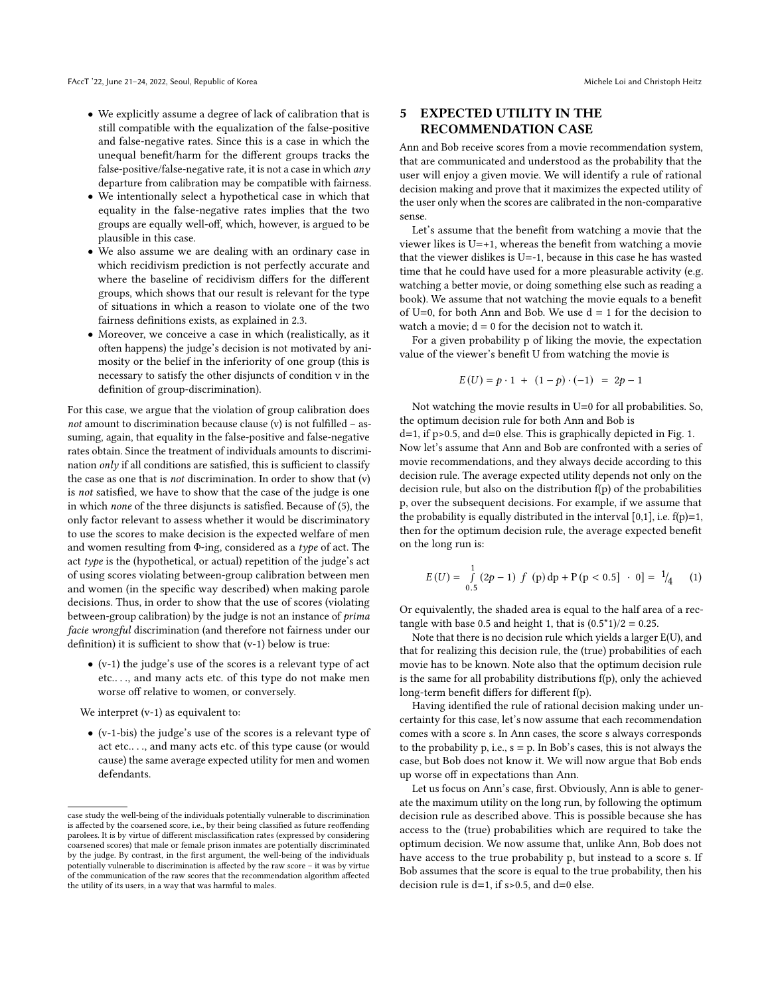- We explicitly assume a degree of lack of calibration that is still compatible with the equalization of the false-positive and false-negative rates. Since this is a case in which the unequal benefit/harm for the different groups tracks the false-positive/false-negative rate, it is not a case in which  $an y$ departure from calibration may be compatible with fairness.
- We intentionally select a hypothetical case in which that equality in the false-negative rates implies that the two groups are equally well-off, which, however, is argued to be plausible in this case.
- We also assume we are dealing with an ordinary case in which recidivism prediction is not perfectly accurate and where the baseline of recidivism differs for the different groups, which shows that our result is relevant for the type of situations in which a reason to violate one of the two fairness definitions exists, as explained in 2.3.
- Moreover, we conceive a case in which (realistically, as it often happens) the judge's decision is not motivated by animosity or the belief in the inferiority of one group (this is necessary to satisfy the other disjuncts of condition v in the definition of group-discrimination).

For this case, we argue that the violation of group calibration does not amount to discrimination because clause (v) is not fulfilled  $-$  assuming, again, that equality in the false-positive and false-negative rates obtain. Since the treatment of individuals amounts to discrimination only if all conditions are satisfied, this is sufficient to classify the case as one that is not discrimination. In order to show that (v) is not satisfied, we have to show that the case of the judge is one in which none of the three disjuncts is satisfied. Because of (5), the only factor relevant to assess whether it would be discriminatory to use the scores to make decision is the expected welfare of men and women resulting from Φ-ing, considered as a type of act. The act type is the (hypothetical, or actual) repetition of the judge's act of using scores violating between-group calibration between men and women (in the specific way described) when making parole decisions. Thus, in order to show that the use of scores (violating between-group calibration) by the judge is not an instance of prima facie wrongful discrimination (and therefore not fairness under our definition) it is sufficient to show that (v-1) below is true:

• (v-1) the judge's use of the scores is a relevant type of act etc.. . ., and many acts etc. of this type do not make men worse off relative to women, or conversely.

We interpret (v-1) as equivalent to:

• (v-1-bis) the judge's use of the scores is a relevant type of act etc.. . ., and many acts etc. of this type cause (or would cause) the same average expected utility for men and women defendants.

## 5 EXPECTED UTILITY IN THE RECOMMENDATION CASE

Ann and Bob receive scores from a movie recommendation system, that are communicated and understood as the probability that the user will enjoy a given movie. We will identify a rule of rational decision making and prove that it maximizes the expected utility of the user only when the scores are calibrated in the non-comparative sense.

Let's assume that the benefit from watching a movie that the viewer likes is U=+1, whereas the benefit from watching a movie that the viewer dislikes is U=-1, because in this case he has wasted time that he could have used for a more pleasurable activity (e.g. watching a better movie, or doing something else such as reading a book). We assume that not watching the movie equals to a benefit of U=0, for both Ann and Bob. We use  $d = 1$  for the decision to watch a movie:  $d = 0$  for the decision not to watch it.

For a given probability p of liking the movie, the expectation value of the viewer's benefit U from watching the movie is

$$
E(U) = p \cdot 1 + (1 - p) \cdot (-1) = 2p - 1
$$

Not watching the movie results in U=0 for all probabilities. So, the optimum decision rule for both Ann and Bob is

 $d=1$ , if p>0.5, and  $d=0$  else. This is graphically depicted in Fig. [1.](#page-6-0) Now let's assume that Ann and Bob are confronted with a series of movie recommendations, and they always decide according to this decision rule. The average expected utility depends not only on the decision rule, but also on the distribution f(p) of the probabilities p, over the subsequent decisions. For example, if we assume that the probability is equally distributed in the interval  $[0,1]$ , i.e.  $f(p)=1$ , then for the optimum decision rule, the average expected benefit on the long run is:

<span id="page-5-0"></span>
$$
E(U) = \int_{0.5}^{1} (2p - 1) f(p) dp + P(p < 0.5] \cdot 0 = \frac{1}{4} \tag{1}
$$

Or equivalently, the shaded area is equal to the half area of a rectangle with base 0.5 and height 1, that is  $(0.5<sup>*</sup>1)/2 = 0.25$ .

Note that there is no decision rule which yields a larger E(U), and that for realizing this decision rule, the (true) probabilities of each movie has to be known. Note also that the optimum decision rule is the same for all probability distributions f(p), only the achieved long-term benefit differs for different f(p).

Having identified the rule of rational decision making under uncertainty for this case, let's now assume that each recommendation comes with a score s. In Ann cases, the score s always corresponds to the probability p, i.e.,  $s = p$ . In Bob's cases, this is not always the case, but Bob does not know it. We will now argue that Bob ends up worse off in expectations than Ann.

Let us focus on Ann's case, first. Obviously, Ann is able to generate the maximum utility on the long run, by following the optimum decision rule as described above. This is possible because she has access to the (true) probabilities which are required to take the optimum decision. We now assume that, unlike Ann, Bob does not have access to the true probability p, but instead to a score s. If Bob assumes that the score is equal to the true probability, then his decision rule is  $d=1$ , if  $s>0.5$ , and  $d=0$  else.

case study the well-being of the individuals potentially vulnerable to discrimination is affected by the coarsened score, i.e., by their being classified as future reoffending parolees. It is by virtue of different misclassification rates (expressed by considering coarsened scores) that male or female prison inmates are potentially discriminated by the judge. By contrast, in the first argument, the well-being of the individuals potentially vulnerable to discrimination is affected by the raw score – it was by virtue of the communication of the raw scores that the recommendation algorithm affected the utility of its users, in a way that was harmful to males.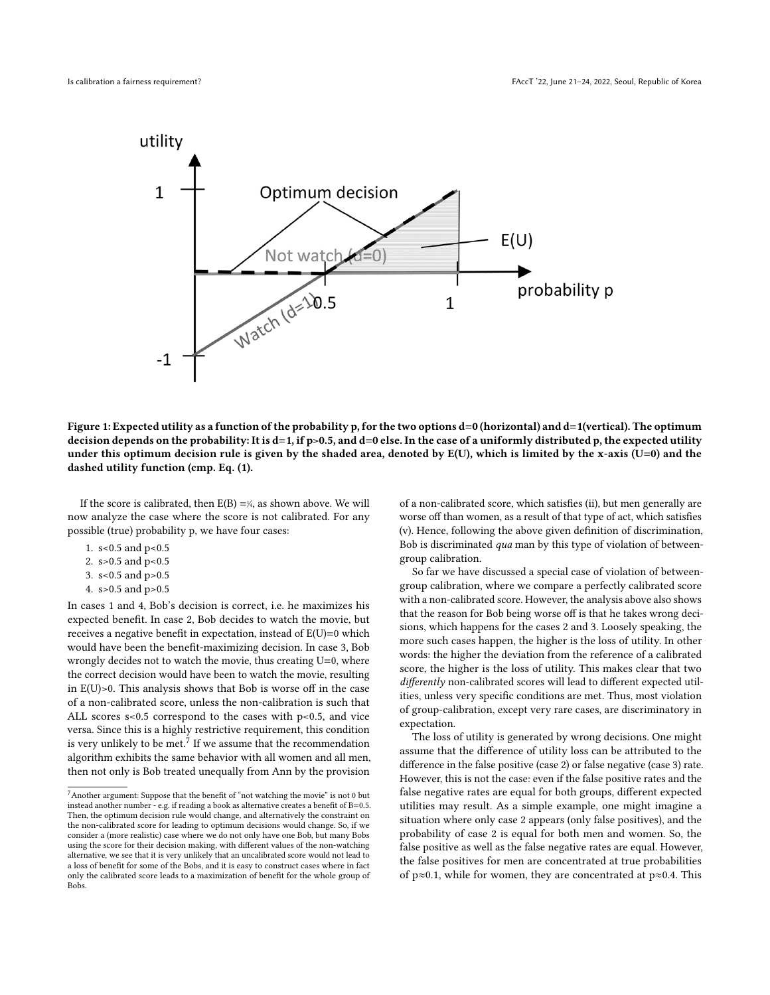<span id="page-6-0"></span>

Figure 1: Expected utility as a function of the probability p, for the two options d=0 (horizontal) and d=1(vertical). The optimum decision depends on the probability: It is d=1, if p>0.5, and d=0 else. In the case of a uniformly distributed p, the expected utility under this optimum decision rule is given by the shaded area, denoted by  $E(U)$ , which is limited by the x-axis (U=0) and the dashed utility function (cmp. Eq. [\(1\)](#page-5-0).

If the score is calibrated, then  $E(B) = \frac{1}{4}$ , as shown above. We will now analyze the case where the score is not calibrated. For any possible (true) probability p, we have four cases:

- 1. s<0.5 and p<0.5
- 2. s>0.5 and p<0.5
- 3. s<0.5 and p>0.5
- 4. s>0.5 and p>0.5

In cases 1 and 4, Bob's decision is correct, i.e. he maximizes his expected benefit. In case 2, Bob decides to watch the movie, but receives a negative benefit in expectation, instead of E(U)=0 which would have been the benefit-maximizing decision. In case 3, Bob wrongly decides not to watch the movie, thus creating U=0, where the correct decision would have been to watch the movie, resulting in E(U)>0. This analysis shows that Bob is worse off in the case of a non-calibrated score, unless the non-calibration is such that ALL scores s<0.5 correspond to the cases with p<0.5, and vice versa. Since this is a highly restrictive requirement, this condition is very unlikely to be met. $^7$  $^7$  If we assume that the recommendation algorithm exhibits the same behavior with all women and all men, then not only is Bob treated unequally from Ann by the provision

of a non-calibrated score, which satisfies (ii), but men generally are worse off than women, as a result of that type of act, which satisfies (v). Hence, following the above given definition of discrimination, Bob is discriminated qua man by this type of violation of betweengroup calibration.

So far we have discussed a special case of violation of betweengroup calibration, where we compare a perfectly calibrated score with a non-calibrated score. However, the analysis above also shows that the reason for Bob being worse off is that he takes wrong decisions, which happens for the cases 2 and 3. Loosely speaking, the more such cases happen, the higher is the loss of utility. In other words: the higher the deviation from the reference of a calibrated score, the higher is the loss of utility. This makes clear that two differently non-calibrated scores will lead to different expected utilities, unless very specific conditions are met. Thus, most violation of group-calibration, except very rare cases, are discriminatory in expectation.

The loss of utility is generated by wrong decisions. One might assume that the difference of utility loss can be attributed to the difference in the false positive (case 2) or false negative (case 3) rate. However, this is not the case: even if the false positive rates and the false negative rates are equal for both groups, different expected utilities may result. As a simple example, one might imagine a situation where only case 2 appears (only false positives), and the probability of case 2 is equal for both men and women. So, the false positive as well as the false negative rates are equal. However, the false positives for men are concentrated at true probabilities of p≈0.1, while for women, they are concentrated at p≈0.4. This

<span id="page-6-1"></span> $^7\!$  Another argument: Suppose that the benefit of "not watching the movie" is not 0 but instead another number - e.g. if reading a book as alternative creates a benefit of B=0.5. Then, the optimum decision rule would change, and alternatively the constraint on the non-calibrated score for leading to optimum decisions would change. So, if we consider a (more realistic) case where we do not only have one Bob, but many Bobs using the score for their decision making, with different values of the non-watching alternative, we see that it is very unlikely that an uncalibrated score would not lead to a loss of benefit for some of the Bobs, and it is easy to construct cases where in fact only the calibrated score leads to a maximization of benefit for the whole group of Bobs.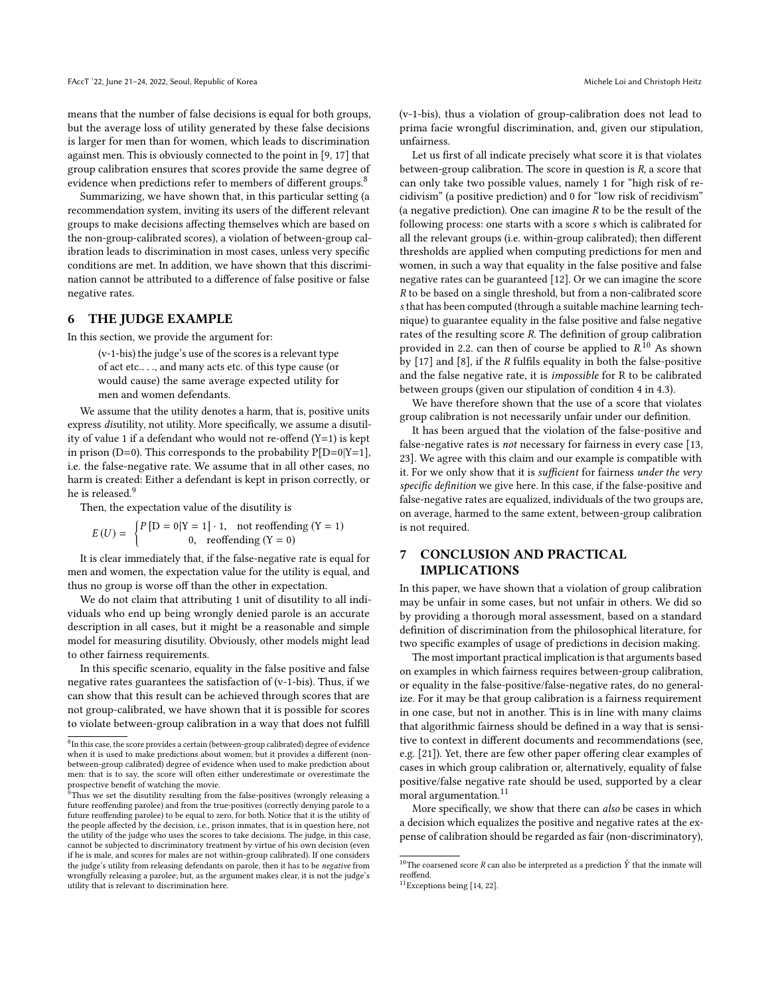means that the number of false decisions is equal for both groups, but the average loss of utility generated by these false decisions is larger for men than for women, which leads to discrimination against men. This is obviously connected to the point in [\[9,](#page-8-19) [17\]](#page-8-9) that group calibration ensures that scores provide the same degree of evidence when predictions refer to members of different groups.<sup>[8](#page-7-0)</sup>

Summarizing, we have shown that, in this particular setting (a recommendation system, inviting its users of the different relevant groups to make decisions affecting themselves which are based on the non-group-calibrated scores), a violation of between-group calibration leads to discrimination in most cases, unless very specific conditions are met. In addition, we have shown that this discrimination cannot be attributed to a difference of false positive or false negative rates.

## 6 THE JUDGE EXAMPLE

In this section, we provide the argument for:

(v-1-bis) the judge's use of the scores is a relevant type of act etc.. . ., and many acts etc. of this type cause (or would cause) the same average expected utility for men and women defendants.

We assume that the utility denotes a harm, that is, positive units express disutility, not utility. More specifically, we assume a disutility of value 1 if a defendant who would not re-offend (Y=1) is kept in prison (D=0). This corresponds to the probability  $P[D=0|Y=1]$ , i.e. the false-negative rate. We assume that in all other cases, no harm is created: Either a defendant is kept in prison correctly, or he is released.<sup>[9](#page-7-1)</sup>

Then, the expectation value of the disutility is

$$
E(U) = \begin{cases} P[D = 0|Y = 1] \cdot 1, & \text{not reoffending } (Y = 1) \\ 0, & \text{reoffending } (Y = 0) \end{cases}
$$

 $U(0) = \begin{cases} 0, & \text{reoffending } (Y = 0) \end{cases}$ <br>It is clear immediately that, if the false-negative rate is equal for men and women, the expectation value for the utility is equal, and thus no group is worse off than the other in expectation.

We do not claim that attributing 1 unit of disutility to all individuals who end up being wrongly denied parole is an accurate description in all cases, but it might be a reasonable and simple model for measuring disutility. Obviously, other models might lead to other fairness requirements.

In this specific scenario, equality in the false positive and false negative rates guarantees the satisfaction of (v-1-bis). Thus, if we can show that this result can be achieved through scores that are not group-calibrated, we have shown that it is possible for scores to violate between-group calibration in a way that does not fulfill (v-1-bis), thus a violation of group-calibration does not lead to prima facie wrongful discrimination, and, given our stipulation, unfairness.

Let us first of all indicate precisely what score it is that violates between-group calibration. The score in question is R, a score that can only take two possible values, namely 1 for "high risk of recidivism" (a positive prediction) and 0 for "low risk of recidivism" (a negative prediction). One can imagine  $R$  to be the result of the following process: one starts with a score s which is calibrated for all the relevant groups (i.e. within-group calibrated); then different thresholds are applied when computing predictions for men and women, in such a way that equality in the false positive and false negative rates can be guaranteed [\[12\]](#page-8-3). Or we can imagine the score R to be based on a single threshold, but from a non-calibrated score s that has been computed (through a suitable machine learning technique) to guarantee equality in the false positive and false negative rates of the resulting score R. The definition of group calibration provided in 2.2. can then of course be applied to  $R^{10}$  $R^{10}$  $R^{10}$  As shown by  $[17]$  and  $[8]$ , if the R fulfils equality in both the false-positive and the false negative rate, it is impossible for R to be calibrated between groups (given our stipulation of condition 4 in 4.3).

We have therefore shown that the use of a score that violates group calibration is not necessarily unfair under our definition.

It has been argued that the violation of the false-positive and false-negative rates is not necessary for fairness in every case [\[13,](#page-8-10) [23\]](#page-8-21). We agree with this claim and our example is compatible with it. For we only show that it is sufficient for fairness under the very specific definition we give here. In this case, if the false-positive and false-negative rates are equalized, individuals of the two groups are, on average, harmed to the same extent, between-group calibration is not required.

## 7 CONCLUSION AND PRACTICAL IMPLICATIONS

In this paper, we have shown that a violation of group calibration may be unfair in some cases, but not unfair in others. We did so by providing a thorough moral assessment, based on a standard definition of discrimination from the philosophical literature, for two specific examples of usage of predictions in decision making.

The most important practical implication is that arguments based on examples in which fairness requires between-group calibration, or equality in the false-positive/false-negative rates, do no generalize. For it may be that group calibration is a fairness requirement in one case, but not in another. This is in line with many claims that algorithmic fairness should be defined in a way that is sensitive to context in different documents and recommendations (see, e.g. [\[21\]](#page-8-23)). Yet, there are few other paper offering clear examples of cases in which group calibration or, alternatively, equality of false positive/false negative rate should be used, supported by a clear moral argumentation.[11](#page-7-3)

More specifically, we show that there can also be cases in which a decision which equalizes the positive and negative rates at the expense of calibration should be regarded as fair (non-discriminatory),

<span id="page-7-0"></span> ${}^{8}$ In this case, the score provides a certain (between-group calibrated) degree of evidence when it is used to make predictions about women; but it provides a different (nonbetween-group calibrated) degree of evidence when used to make prediction about men: that is to say, the score will often either underestimate or overestimate the

<span id="page-7-1"></span>prospective benefit of watching the movie. <sup>9</sup>Thus we set the disutility resulting from the false-positives (wrongly releasing a future reoffending parolee) and from the true-positives (correctly denying parole to a future reoffending parolee) to be equal to zero, for both. Notice that it is the utility of the people affected by the decision, i.e., prison inmates, that is in question here, not the utility of the judge who uses the scores to take decisions. The judge, in this case, cannot be subjected to discriminatory treatment by virtue of his own decision (even if he is male, and scores for males are not within-group calibrated). If one considers the judge's utility from releasing defendants on parole, then it has to be negative from wrongfully releasing a parolee; but, as the argument makes clear, it is not the judge's utility that is relevant to discrimination here.

<span id="page-7-2"></span> $^{10}\mathrm{The}$  coarsened score  $R$  can also be interpreted as a prediction  $\hat{Y}$  that the inmate will reoffend.

<span id="page-7-3"></span><sup>11</sup>Exceptions being [\[14,](#page-8-22) [22\]](#page-8-17).